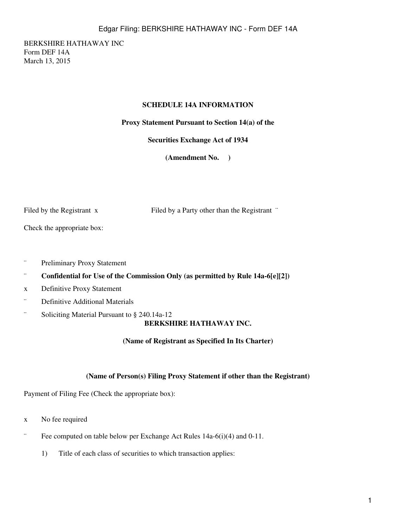BERKSHIRE HATHAWAY INC Form DEF 14A March 13, 2015

## **SCHEDULE 14A INFORMATION**

## **Proxy Statement Pursuant to Section 14(a) of the**

## **Securities Exchange Act of 1934**

**(Amendment No. )**

Filed by the Registrant x Filed by a Party other than the Registrant "

Check the appropriate box:

¨ Preliminary Proxy Statement

# ¨ **Confidential for Use of the Commission Only (as permitted by Rule 14a-6[e][2])**

- x Definitive Proxy Statement
- ¨ Definitive Additional Materials
- ¨ Soliciting Material Pursuant to § 240.14a-12

# **BERKSHIRE HATHAWAY INC.**

**(Name of Registrant as Specified In Its Charter)**

## **(Name of Person(s) Filing Proxy Statement if other than the Registrant)**

Payment of Filing Fee (Check the appropriate box):

- x No fee required
- ¨ Fee computed on table below per Exchange Act Rules 14a-6(i)(4) and 0-11.
	- 1) Title of each class of securities to which transaction applies: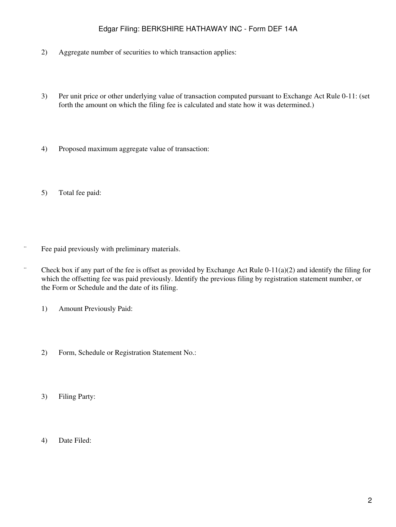- 2) Aggregate number of securities to which transaction applies:
- 3) Per unit price or other underlying value of transaction computed pursuant to Exchange Act Rule 0-11: (set forth the amount on which the filing fee is calculated and state how it was determined.)
- 4) Proposed maximum aggregate value of transaction:
- 5) Total fee paid:
- ¨ Fee paid previously with preliminary materials.
- ¨ Check box if any part of the fee is offset as provided by Exchange Act Rule 0-11(a)(2) and identify the filing for which the offsetting fee was paid previously. Identify the previous filing by registration statement number, or the Form or Schedule and the date of its filing.
	- 1) Amount Previously Paid:
	- 2) Form, Schedule or Registration Statement No.:
	- 3) Filing Party:
	- 4) Date Filed: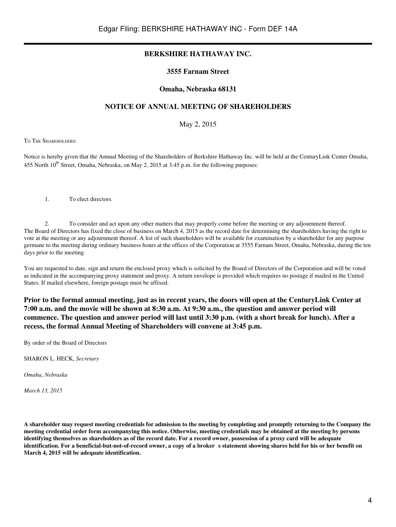## **BERKSHIRE HATHAWAY INC.**

## **3555 Farnam Street**

### **Omaha, Nebraska 68131**

# **NOTICE OF ANNUAL MEETING OF SHAREHOLDERS**

May 2, 2015

#### TO THE SHAREHOLDERS:

Notice is hereby given that the Annual Meeting of the Shareholders of Berkshire Hathaway Inc. will be held at the CenturyLink Center Omaha, 455 North  $10^{th}$  Street, Omaha, Nebraska, on May 2, 2015 at 3:45 p.m. for the following purposes:

1. To elect directors.

2. To consider and act upon any other matters that may properly come before the meeting or any adjournment thereof. The Board of Directors has fixed the close of business on March 4, 2015 as the record date for determining the shareholders having the right to vote at the meeting or any adjournment thereof. A list of such shareholders will be available for examination by a shareholder for any purpose germane to the meeting during ordinary business hours at the offices of the Corporation at 3555 Farnam Street, Omaha, Nebraska, during the ten days prior to the meeting.

You are requested to date, sign and return the enclosed proxy which is solicited by the Board of Directors of the Corporation and will be voted as indicated in the accompanying proxy statement and proxy. A return envelope is provided which requires no postage if mailed in the United States. If mailed elsewhere, foreign postage must be affixed.

## **Prior to the formal annual meeting, just as in recent years, the doors will open at the CenturyLink Center at 7:00 a.m. and the movie will be shown at 8:30 a.m. At 9:30 a.m., the question and answer period will commence. The question and answer period will last until 3:30 p.m. (with a short break for lunch). After a recess, the formal Annual Meeting of Shareholders will convene at 3:45 p.m.**

By order of the Board of Directors

SHARON L. HECK, *Secretary*

*Omaha, Nebraska*

*March 13, 2015*

**A shareholder may request meeting credentials for admission to the meeting by completing and promptly returning to the Company the meeting credential order form accompanying this notice. Otherwise, meeting credentials may be obtained at the meeting by persons identifying themselves as shareholders as of the record date. For a record owner, possession of a proxy card will be adequate** identification. For a beneficial-but-not-of-record owner, a copy of a broker s statement showing shares held for his or her benefit on **March 4, 2015 will be adequate identification.**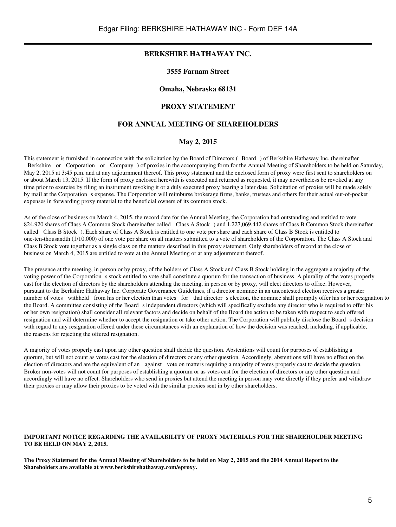#### **BERKSHIRE HATHAWAY INC.**

#### **3555 Farnam Street**

**Omaha, Nebraska 68131**

## **PROXY STATEMENT**

### **FOR ANNUAL MEETING OF SHAREHOLDERS**

#### **May 2, 2015**

This statement is furnished in connection with the solicitation by the Board of Directors (Board) of Berkshire Hathaway Inc. (hereinafter Berkshire or Corporation or Company) of proxies in the accompanying form for the Annual Meeting of Shareholders to be held on Saturday, May 2, 2015 at 3:45 p.m. and at any adjournment thereof. This proxy statement and the enclosed form of proxy were first sent to shareholders on or about March 13, 2015. If the form of proxy enclosed herewith is executed and returned as requested, it may nevertheless be revoked at any time prior to exercise by filing an instrument revoking it or a duly executed proxy bearing a later date. Solicitation of proxies will be made solely by mail at the Corporation s expense. The Corporation will reimburse brokerage firms, banks, trustees and others for their actual out-of-pocket expenses in forwarding proxy material to the beneficial owners of its common stock.

As of the close of business on March 4, 2015, the record date for the Annual Meeting, the Corporation had outstanding and entitled to vote 824,920 shares of Class A Common Stock (hereinafter called Class A Stock) and 1,227,069,442 shares of Class B Common Stock (hereinafter called Class B Stock). Each share of Class A Stock is entitled to one vote per share and each share of Class B Stock is entitled to one-ten-thousandth (1/10,000) of one vote per share on all matters submitted to a vote of shareholders of the Corporation. The Class A Stock and Class B Stock vote together as a single class on the matters described in this proxy statement. Only shareholders of record at the close of business on March 4, 2015 are entitled to vote at the Annual Meeting or at any adjournment thereof.

The presence at the meeting, in person or by proxy, of the holders of Class A Stock and Class B Stock holding in the aggregate a majority of the voting power of the Corporation s stock entitled to vote shall constitute a quorum for the transaction of business. A plurality of the votes properly cast for the election of directors by the shareholders attending the meeting, in person or by proxy, will elect directors to office. However, pursuant to the Berkshire Hathaway Inc. Corporate Governance Guidelines, if a director nominee in an uncontested election receives a greater number of votes withheld from his or her election than votes for that director s election, the nominee shall promptly offer his or her resignation to the Board. A committee consisting of the Board s independent directors (which will specifically exclude any director who is required to offer his or her own resignation) shall consider all relevant factors and decide on behalf of the Board the action to be taken with respect to such offered resignation and will determine whether to accept the resignation or take other action. The Corporation will publicly disclose the Board s decision with regard to any resignation offered under these circumstances with an explanation of how the decision was reached, including, if applicable, the reasons for rejecting the offered resignation.

A majority of votes properly cast upon any other question shall decide the question. Abstentions will count for purposes of establishing a quorum, but will not count as votes cast for the election of directors or any other question. Accordingly, abstentions will have no effect on the election of directors and are the equivalent of an against vote on matters requiring a majority of votes properly cast to decide the question. Broker non-votes will not count for purposes of establishing a quorum or as votes cast for the election of directors or any other question and accordingly will have no effect. Shareholders who send in proxies but attend the meeting in person may vote directly if they prefer and withdraw their proxies or may allow their proxies to be voted with the similar proxies sent in by other shareholders.

#### **IMPORTANT NOTICE REGARDING THE AVAILABILITY OF PROXY MATERIALS FOR THE SHAREHOLDER MEETING TO BE HELD ON MAY 2, 2015.**

**The Proxy Statement for the Annual Meeting of Shareholders to be held on May 2, 2015 and the 2014 Annual Report to the Shareholders are available at www.berkshirehathaway.com/eproxy.**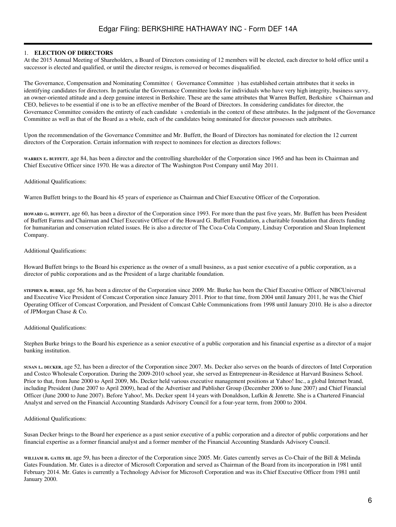### 1. **ELECTION OF DIRECTORS**

At the 2015 Annual Meeting of Shareholders, a Board of Directors consisting of 12 members will be elected, each director to hold office until a successor is elected and qualified, or until the director resigns, is removed or becomes disqualified.

The Governance, Compensation and Nominating Committee (Governance Committee) has established certain attributes that it seeks in identifying candidates for directors. In particular the Governance Committee looks for individuals who have very high integrity, business savvy, an owner-oriented attitude and a deep genuine interest in Berkshire. These are the same attributes that Warren Buffett, Berkshire s Chairman and CEO, believes to be essential if one is to be an effective member of the Board of Directors. In considering candidates for director, the Governance Committee considers the entirety of each candidate s credentials in the context of these attributes. In the judgment of the Governance Committee as well as that of the Board as a whole, each of the candidates being nominated for director possesses such attributes.

Upon the recommendation of the Governance Committee and Mr. Buffett, the Board of Directors has nominated for election the 12 current directors of the Corporation. Certain information with respect to nominees for election as directors follows:

**WARREN <sup>E</sup>. BUFFETT**, age 84, has been a director and the controlling shareholder of the Corporation since 1965 and has been its Chairman and Chief Executive Officer since 1970. He was a director of The Washington Post Company until May 2011.

#### Additional Qualifications:

Warren Buffett brings to the Board his 45 years of experience as Chairman and Chief Executive Officer of the Corporation.

**HOWARD <sup>G</sup>. BUFFETT**, age 60, has been a director of the Corporation since 1993. For more than the past five years, Mr. Buffett has been President of Buffett Farms and Chairman and Chief Executive Officer of the Howard G. Buffett Foundation, a charitable foundation that directs funding for humanitarian and conservation related issues. He is also a director of The Coca-Cola Company, Lindsay Corporation and Sloan Implement Company.

#### Additional Qualifications:

Howard Buffett brings to the Board his experience as the owner of a small business, as a past senior executive of a public corporation, as a director of public corporations and as the President of a large charitable foundation.

**STEPHEN <sup>B</sup>. BURKE**, age 56, has been a director of the Corporation since 2009. Mr. Burke has been the Chief Executive Officer of NBCUniversal and Executive Vice President of Comcast Corporation since January 2011. Prior to that time, from 2004 until January 2011, he was the Chief Operating Officer of Comcast Corporation, and President of Comcast Cable Communications from 1998 until January 2010. He is also a director of JPMorgan Chase & Co.

#### Additional Qualifications:

Stephen Burke brings to the Board his experience as a senior executive of a public corporation and his financial expertise as a director of a major banking institution.

**SUSAN <sup>L</sup>. DECKER**, age 52, has been a director of the Corporation since 2007. Ms. Decker also serves on the boards of directors of Intel Corporation and Costco Wholesale Corporation. During the 2009-2010 school year, she served as Entrepreneur-in-Residence at Harvard Business School. Prior to that, from June 2000 to April 2009, Ms. Decker held various executive management positions at Yahoo! Inc., a global Internet brand, including President (June 2007 to April 2009), head of the Advertiser and Publisher Group (December 2006 to June 2007) and Chief Financial Officer (June 2000 to June 2007). Before Yahoo!, Ms. Decker spent 14 years with Donaldson, Lufkin & Jenrette. She is a Chartered Financial Analyst and served on the Financial Accounting Standards Advisory Council for a four-year term, from 2000 to 2004.

#### Additional Qualifications:

Susan Decker brings to the Board her experience as a past senior executive of a public corporation and a director of public corporations and her financial expertise as a former financial analyst and a former member of the Financial Accounting Standards Advisory Council.

**WILLIAM <sup>H</sup>. GATES III**, age 59, has been a director of the Corporation since 2005. Mr. Gates currently serves as Co-Chair of the Bill & Melinda Gates Foundation. Mr. Gates is a director of Microsoft Corporation and served as Chairman of the Board from its incorporation in 1981 until February 2014. Mr. Gates is currently a Technology Advisor for Microsoft Corporation and was its Chief Executive Officer from 1981 until January 2000.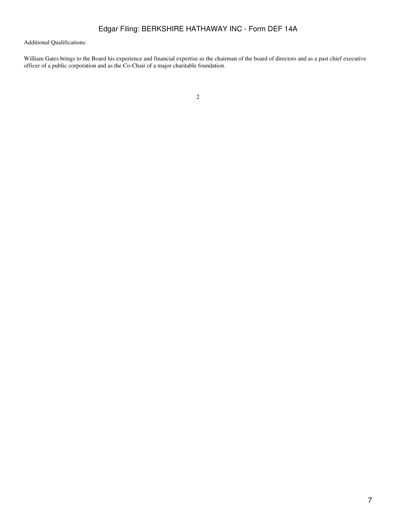Additional Qualifications:

William Gates brings to the Board his experience and financial expertise as the chairman of the board of directors and as a past chief executive officer of a public corporation and as the Co-Chair of a major charitable foundation.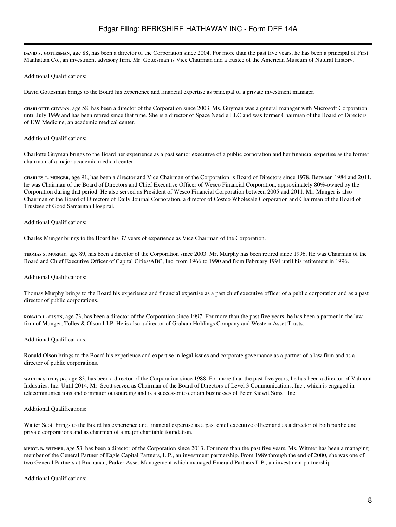**DAVID <sup>S</sup>. GOTTESMAN**, age 88, has been a director of the Corporation since 2004. For more than the past five years, he has been a principal of First Manhattan Co., an investment advisory firm. Mr. Gottesman is Vice Chairman and a trustee of the American Museum of Natural History.

#### Additional Qualifications:

David Gottesman brings to the Board his experience and financial expertise as principal of a private investment manager.

**CHARLOTTE GUYMAN**, age 58, has been a director of the Corporation since 2003. Ms. Guyman was a general manager with Microsoft Corporation until July 1999 and has been retired since that time. She is a director of Space Needle LLC and was former Chairman of the Board of Directors of UW Medicine, an academic medical center.

#### Additional Qualifications:

Charlotte Guyman brings to the Board her experience as a past senior executive of a public corporation and her financial expertise as the former chairman of a major academic medical center.

**CHARLES <sup>T</sup>. MUNGER**, age 91, has been a director and Vice Chairman of the Corporations Board of Directors since 1978. Between 1984 and 2011, he was Chairman of the Board of Directors and Chief Executive Officer of Wesco Financial Corporation, approximately 80%-owned by the Corporation during that period. He also served as President of Wesco Financial Corporation between 2005 and 2011. Mr. Munger is also Chairman of the Board of Directors of Daily Journal Corporation, a director of Costco Wholesale Corporation and Chairman of the Board of Trustees of Good Samaritan Hospital.

#### Additional Qualifications:

Charles Munger brings to the Board his 37 years of experience as Vice Chairman of the Corporation.

**THOMAS <sup>S</sup>. MURPHY**, age 89, has been a director of the Corporation since 2003. Mr. Murphy has been retired since 1996. He was Chairman of the Board and Chief Executive Officer of Capital Cities/ABC, Inc. from 1966 to 1990 and from February 1994 until his retirement in 1996.

#### Additional Qualifications:

Thomas Murphy brings to the Board his experience and financial expertise as a past chief executive officer of a public corporation and as a past director of public corporations.

**RONALD <sup>L</sup>. OLSON**, age 73, has been a director of the Corporation since 1997. For more than the past five years, he has been a partner in the law firm of Munger, Tolles & Olson LLP. He is also a director of Graham Holdings Company and Western Asset Trusts.

#### Additional Qualifications:

Ronald Olson brings to the Board his experience and expertise in legal issues and corporate governance as a partner of a law firm and as a director of public corporations.

**WALTER SCOTT, JR.**, age 83, has been a director of the Corporation since 1988. For more than the past five years, he has been a director of Valmont Industries, Inc. Until 2014, Mr. Scott served as Chairman of the Board of Directors of Level 3 Communications, Inc., which is engaged in telecommunications and computer outsourcing and is a successor to certain businesses of Peter Kiewit Sons Inc.

#### Additional Qualifications:

Walter Scott brings to the Board his experience and financial expertise as a past chief executive officer and as a director of both public and private corporations and as chairman of a major charitable foundation.

**MERYL <sup>B</sup>. WITMER**, age 53, has been a director of the Corporation since 2013. For more than the past five years, Ms. Witmer has been a managing member of the General Partner of Eagle Capital Partners, L.P., an investment partnership. From 1989 through the end of 2000, she was one of two General Partners at Buchanan, Parker Asset Management which managed Emerald Partners L.P., an investment partnership.

#### Additional Qualifications: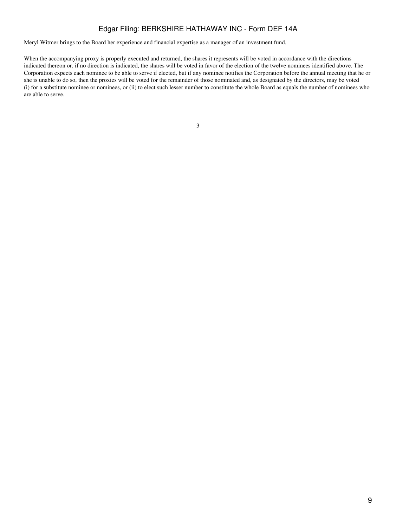Meryl Witmer brings to the Board her experience and financial expertise as a manager of an investment fund.

When the accompanying proxy is properly executed and returned, the shares it represents will be voted in accordance with the directions indicated thereon or, if no direction is indicated, the shares will be voted in favor of the election of the twelve nominees identified above. The Corporation expects each nominee to be able to serve if elected, but if any nominee notifies the Corporation before the annual meeting that he or she is unable to do so, then the proxies will be voted for the remainder of those nominated and, as designated by the directors, may be voted (i) for a substitute nominee or nominees, or (ii) to elect such lesser number to constitute the whole Board as equals the number of nominees who are able to serve.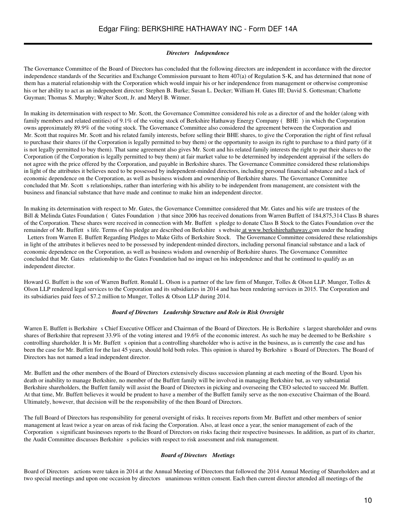#### *Directors Independence*

The Governance Committee of the Board of Directors has concluded that the following directors are independent in accordance with the director independence standards of the Securities and Exchange Commission pursuant to Item 407(a) of Regulation S-K, and has determined that none of them has a material relationship with the Corporation which would impair his or her independence from management or otherwise compromise his or her ability to act as an independent director: Stephen B. Burke; Susan L. Decker; William H. Gates III; David S. Gottesman; Charlotte Guyman; Thomas S. Murphy; Walter Scott, Jr. and Meryl B. Witmer.

In making its determination with respect to Mr. Scott, the Governance Committee considered his role as a director of and the holder (along with family members and related entities) of 9.1% of the voting stock of Berkshire Hathaway Energy Company (BHE) in which the Corporation owns approximately 89.9% of the voting stock. The Governance Committee also considered the agreement between the Corporation and Mr. Scott that requires Mr. Scott and his related family interests, before selling their BHE shares, to give the Corporation the right of first refusal to purchase their shares (if the Corporation is legally permitted to buy them) or the opportunity to assign its right to purchase to a third party (if it is not legally permitted to buy them). That same agreement also gives Mr. Scott and his related family interests the right to put their shares to the Corporation (if the Corporation is legally permitted to buy them) at fair market value to be determined by independent appraisal if the sellers do not agree with the price offered by the Corporation, and payable in Berkshire shares. The Governance Committee considered these relationships in light of the attributes it believes need to be possessed by independent-minded directors, including personal financial substance and a lack of economic dependence on the Corporation, as well as business wisdom and ownership of Berkshire shares. The Governance Committee concluded that Mr. Scott s relationships, rather than interfering with his ability to be independent from management, are consistent with the business and financial substance that have made and continue to make him an independent director.

In making its determination with respect to Mr. Gates, the Governance Committee considered that Mr. Gates and his wife are trustees of the Bill & Melinda Gates Foundation (Gates Foundation) that since 2006 has received donations from Warren Buffett of 184,875,314 Class B shares of the Corporation. These shares were received in connection with Mr. Buffett s pledge to donate Class B Stock to the Gates Foundation over the remainder of Mr. Buffett s life. Terms of his pledge are described on Berkshire s website at www.berkshirehathaway.com under the heading Letters from Warren E. Buffett Regarding Pledges to Make Gifts of Berkshire Stock. The Governance Committee considered these relationships in light of the attributes it believes need to be possessed by independent-minded directors, including personal financial substance and a lack of economic dependence on the Corporation, as well as business wisdom and ownership of Berkshire shares. The Governance Committee concluded that Mr. Gates relationship to the Gates Foundation had no impact on his independence and that he continued to qualify as an independent director.

Howard G. Buffett is the son of Warren Buffett. Ronald L. Olson is a partner of the law firm of Munger, Tolles & Olson LLP. Munger, Tolles & Olson LLP rendered legal services to the Corporation and its subsidiaries in 2014 and has been rendering services in 2015. The Corporation and its subsidiaries paid fees of \$7.2 million to Munger, Tolles & Olson LLP during 2014.

#### *Board of Directors Leadership Structure and Role in Risk Oversight*

Warren E. Buffett is Berkshire s Chief Executive Officer and Chairman of the Board of Directors. He is Berkshire s largest shareholder and owns shares of Berkshire that represent 33.9% of the voting interest and 19.6% of the economic interest. As such he may be deemed to be Berkshire s controlling shareholder. It is Mr. Buffett s opinion that a controlling shareholder who is active in the business, as is currently the case and has been the case for Mr. Buffett for the last 45 years, should hold both roles. This opinion is shared by Berkshire s Board of Directors. The Board of Directors has not named a lead independent director.

Mr. Buffett and the other members of the Board of Directors extensively discuss succession planning at each meeting of the Board. Upon his death or inability to manage Berkshire, no member of the Buffett family will be involved in managing Berkshire but, as very substantial Berkshire shareholders, the Buffett family will assist the Board of Directors in picking and overseeing the CEO selected to succeed Mr. Buffett. At that time, Mr. Buffett believes it would be prudent to have a member of the Buffett family serve as the non-executive Chairman of the Board. Ultimately, however, that decision will be the responsibility of the then Board of Directors.

The full Board of Directors has responsibility for general oversight of risks. It receives reports from Mr. Buffett and other members of senior management at least twice a year on areas of risk facing the Corporation. Also, at least once a year, the senior management of each of the Corporation s significant businesses reports to the Board of Directors on risks facing their respective businesses. In addition, as part of its charter, the Audit Committee discusses Berkshire s policies with respect to risk assessment and risk management.

#### *Board of Directors Meetings*

Board of Directors actions were taken in 2014 at the Annual Meeting of Directors that followed the 2014 Annual Meeting of Shareholders and at two special meetings and upon one occasion by directors unanimous written consent. Each then current director attended all meetings of the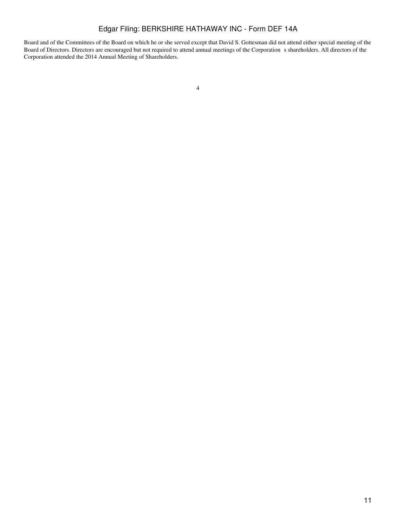Board and of the Committees of the Board on which he or she served except that David S. Gottesman did not attend either special meeting of the Board of Directors. Directors are encouraged but not required to attend annual meetings of the Corporation s shareholders. All directors of the Corporation attended the 2014 Annual Meeting of Shareholders.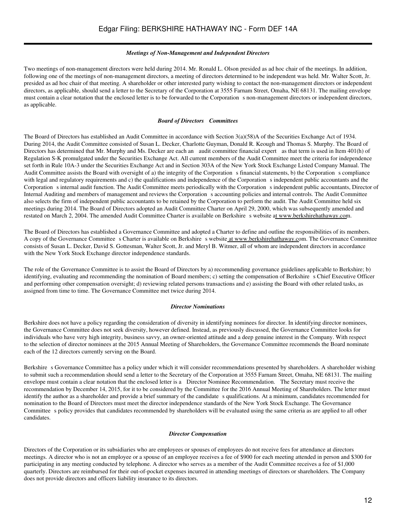#### *Meetings of Non-Management and Independent Directors*

Two meetings of non-management directors were held during 2014. Mr. Ronald L. Olson presided as ad hoc chair of the meetings. In addition, following one of the meetings of non-management directors, a meeting of directors determined to be independent was held. Mr. Walter Scott, Jr. presided as ad hoc chair of that meeting. A shareholder or other interested party wishing to contact the non-management directors or independent directors, as applicable, should send a letter to the Secretary of the Corporation at 3555 Farnam Street, Omaha, NE 68131. The mailing envelope must contain a clear notation that the enclosed letter is to be forwarded to the Corporation s non-management directors or independent directors, as applicable.

#### *Board of Directors Committees*

The Board of Directors has established an Audit Committee in accordance with Section 3(a)(58)A of the Securities Exchange Act of 1934. During 2014, the Audit Committee consisted of Susan L. Decker, Charlotte Guyman, Donald R. Keough and Thomas S. Murphy. The Board of Directors has determined that Mr. Murphy and Ms. Decker are each an audit committee financial expert as that term is used in Item 401(h) of Regulation S-K promulgated under the Securities Exchange Act. All current members of the Audit Committee meet the criteria for independence set forth in Rule 10A-3 under the Securities Exchange Act and in Section 303A of the New York Stock Exchange Listed Company Manual. The Audit Committee assists the Board with oversight of a) the integrity of the Corporation s financial statements, b) the Corporation s compliance with legal and regulatory requirements and c) the qualifications and independence of the Corporation s independent public accountants and the Corporation s internal audit function. The Audit Committee meets periodically with the Corporation s independent public accountants, Director of Internal Auditing and members of management and reviews the Corporation s accounting policies and internal controls. The Audit Committee also selects the firm of independent public accountants to be retained by the Corporation to perform the audit. The Audit Committee held six meetings during 2014. The Board of Directors adopted an Audit Committee Charter on April 29, 2000, which was subsequently amended and restated on March 2, 2004. The amended Audit Committee Charter is available on Berkshire s website at www.berkshirehathaway.com.

The Board of Directors has established a Governance Committee and adopted a Charter to define and outline the responsibilities of its members. A copy of the Governance Committee s Charter is available on Berkshire s website at www.berkshirehathaway.com. The Governance Committee consists of Susan L. Decker, David S. Gottesman, Walter Scott, Jr. and Meryl B. Witmer, all of whom are independent directors in accordance with the New York Stock Exchange director independence standards.

The role of the Governance Committee is to assist the Board of Directors by a) recommending governance guidelines applicable to Berkshire; b) identifying, evaluating and recommending the nomination of Board members; c) setting the compensation of Berkshire s Chief Executive Officer and performing other compensation oversight; d) reviewing related persons transactions and e) assisting the Board with other related tasks, as assigned from time to time. The Governance Committee met twice during 2014.

#### *Director Nominations*

Berkshire does not have a policy regarding the consideration of diversity in identifying nominees for director. In identifying director nominees, the Governance Committee does not seek diversity, however defined. Instead, as previously discussed, the Governance Committee looks for individuals who have very high integrity, business savvy, an owner-oriented attitude and a deep genuine interest in the Company. With respect to the selection of director nominees at the 2015 Annual Meeting of Shareholders, the Governance Committee recommends the Board nominate each of the 12 directors currently serving on the Board.

Berkshire s Governance Committee has a policy under which it will consider recommendations presented by shareholders. A shareholder wishing to submit such a recommendation should send a letter to the Secretary of the Corporation at 3555 Farnam Street, Omaha, NE 68131. The mailing envelope must contain a clear notation that the enclosed letter is a Director Nominee Recommendation. The Secretary must receive the recommendation by December 14, 2015, for it to be considered by the Committee for the 2016 Annual Meeting of Shareholders. The letter must identify the author as a shareholder and provide a brief summary of the candidate s qualifications. At a minimum, candidates recommended for nomination to the Board of Directors must meet the director independence standards of the New York Stock Exchange. The Governance Committee s policy provides that candidates recommended by shareholders will be evaluated using the same criteria as are applied to all other candidates.

#### *Director Compensation*

Directors of the Corporation or its subsidiaries who are employees or spouses of employees do not receive fees for attendance at directors meetings. A director who is not an employee or a spouse of an employee receives a fee of \$900 for each meeting attended in person and \$300 for participating in any meeting conducted by telephone. A director who serves as a member of the Audit Committee receives a fee of \$1,000 quarterly. Directors are reimbursed for their out-of-pocket expenses incurred in attending meetings of directors or shareholders. The Company does not provide directors and officers liability insurance to its directors.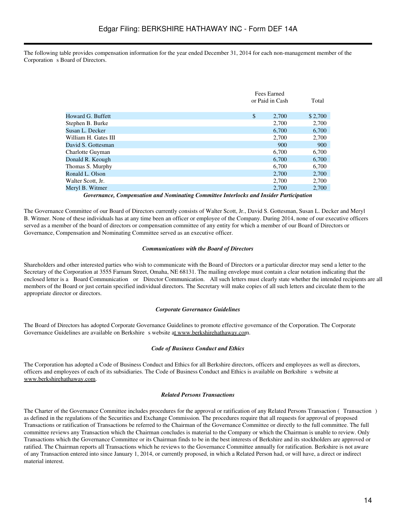The following table provides compensation information for the year ended December 31, 2014 for each non-management member of the Corporation s Board of Directors.

|                      | Fees Earned     |         |
|----------------------|-----------------|---------|
|                      | or Paid in Cash | Total   |
|                      |                 |         |
| Howard G. Buffett    | \$<br>2,700     | \$2,700 |
| Stephen B. Burke     | 2,700           | 2,700   |
| Susan L. Decker      | 6,700           | 6,700   |
| William H. Gates III | 2,700           | 2,700   |
| David S. Gottesman   | 900             | 900     |
| Charlotte Guyman     | 6.700           | 6,700   |
| Donald R. Keough     | 6,700           | 6,700   |
| Thomas S. Murphy     | 6,700           | 6,700   |
| Ronald L. Olson      | 2.700           | 2,700   |
| Walter Scott, Jr.    | 2,700           | 2,700   |
| Meryl B. Witmer      | 2.700           | 2,700   |
|                      |                 |         |

*Governance, Compensation and Nominating Committee Interlocks and Insider Participation*

The Governance Committee of our Board of Directors currently consists of Walter Scott, Jr., David S. Gottesman, Susan L. Decker and Meryl B. Witmer. None of these individuals has at any time been an officer or employee of the Company. During 2014, none of our executive officers served as a member of the board of directors or compensation committee of any entity for which a member of our Board of Directors or Governance, Compensation and Nominating Committee served as an executive officer.

#### *Communications with the Board of Directors*

Shareholders and other interested parties who wish to communicate with the Board of Directors or a particular director may send a letter to the Secretary of the Corporation at 3555 Farnam Street, Omaha, NE 68131. The mailing envelope must contain a clear notation indicating that the enclosed letter is a Board Communication or Director Communication. All such letters must clearly state whether the intended recipients are all members of the Board or just certain specified individual directors. The Secretary will make copies of all such letters and circulate them to the appropriate director or directors.

#### *Corporate Governance Guidelines*

The Board of Directors has adopted Corporate Governance Guidelines to promote effective governance of the Corporation. The Corporate Governance Guidelines are available on Berkshire s website at www.berkshirehathaway.com.

#### *Code of Business Conduct and Ethics*

The Corporation has adopted a Code of Business Conduct and Ethics for all Berkshire directors, officers and employees as well as directors, officers and employees of each of its subsidiaries. The Code of Business Conduct and Ethics is available on Berkshires website at www.berkshirehathaway.com.

#### *Related Persons Transactions*

The Charter of the Governance Committee includes procedures for the approval or ratification of any Related Persons Transaction (Transaction) as defined in the regulations of the Securities and Exchange Commission. The procedures require that all requests for approval of proposed Transactions or ratification of Transactions be referred to the Chairman of the Governance Committee or directly to the full committee. The full committee reviews any Transaction which the Chairman concludes is material to the Company or which the Chairman is unable to review. Only Transactions which the Governance Committee or its Chairman finds to be in the best interests of Berkshire and its stockholders are approved or ratified. The Chairman reports all Transactions which he reviews to the Governance Committee annually for ratification. Berkshire is not aware of any Transaction entered into since January 1, 2014, or currently proposed, in which a Related Person had, or will have, a direct or indirect material interest.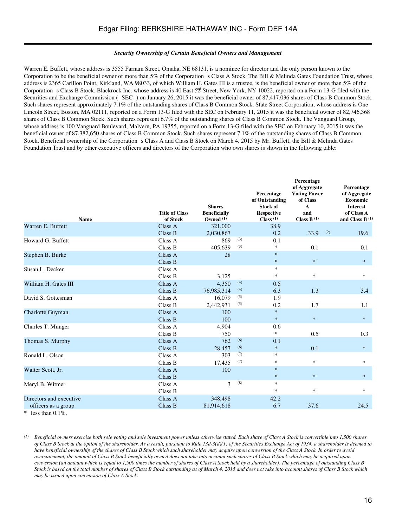#### *Security Ownership of Certain Beneficial Owners and Management*

Warren E. Buffett, whose address is 3555 Farnam Street, Omaha, NE 68131, is a nominee for director and the only person known to the Corporation to be the beneficial owner of more than 5% of the Corporation s Class A Stock. The Bill & Melinda Gates Foundation Trust, whose address is 2365 Carillon Point, Kirkland, WA 98033, of which William H. Gates III is a trustee, is the beneficial owner of more than 5% of the Corporation s Class B Stock. Blackrock Inc. whose address is 40 East 52 Street, New York, NY 10022, reported on a Form 13-G filed with the Securities and Exchange Commission (SEC) on January 26, 2015 it was the beneficial owner of 87,417,036 shares of Class B Common Stock. Such shares represent approximately 7.1% of the outstanding shares of Class B Common Stock. State Street Corporation, whose address is One Lincoln Street, Boston, MA 02111, reported on a Form 13-G filed with the SEC on February 11, 2015 it was the beneficial owner of 82,746,368 shares of Class B Common Stock. Such shares represent 6.7% of the outstanding shares of Class B Common Stock. The Vanguard Group, whose address is 100 Vanguard Boulevard, Malvern, PA 19355, reported on a Form 13-G filed with the SEC on February 10, 2015 it was the beneficial owner of 87,382,650 shares of Class B Common Stock. Such shares represent 7.1% of the outstanding shares of Class B Common Stock. Beneficial ownership of the Corporation s Class A and Class B Stock on March 4, 2015 by Mr. Buffett, the Bill & Melinda Gates Foundation Trust and by other executive officers and directors of the Corporation who own shares is shown in the following table:

| <b>Name</b>             | <b>Title of Class</b><br>of Stock | <b>Shares</b><br><b>Beneficially</b><br>Owned $(1)$ |     | Percentage<br>of Outstanding<br>Stock of<br><b>Respective</b><br>Class $(1)$ | Percentage<br>of Aggregate<br><b>Voting Power</b><br>of Class<br>A<br>and<br>Class $B(1)$ | Percentage<br>of Aggregate<br><b>Economic</b><br><b>Interest</b><br>of Class A<br>and Class $B(1)$ |
|-------------------------|-----------------------------------|-----------------------------------------------------|-----|------------------------------------------------------------------------------|-------------------------------------------------------------------------------------------|----------------------------------------------------------------------------------------------------|
| Warren E. Buffett       | Class A                           | 321,000                                             |     | 38.9                                                                         |                                                                                           |                                                                                                    |
|                         | Class B                           | 2,030,867                                           |     | 0.2                                                                          | 33.9                                                                                      | (2)<br>19.6                                                                                        |
| Howard G. Buffett       | Class A                           | 869                                                 | (3) | 0.1                                                                          |                                                                                           |                                                                                                    |
|                         | Class B                           | 405,639                                             | (3) | $\ast$                                                                       | 0.1                                                                                       | 0.1                                                                                                |
| Stephen B. Burke        | Class A                           | 28                                                  |     | $\ast$                                                                       |                                                                                           |                                                                                                    |
|                         | Class B                           |                                                     |     | $\ast$                                                                       | $\ast$                                                                                    | $\ast$                                                                                             |
| Susan L. Decker         | Class A                           |                                                     |     | *                                                                            |                                                                                           |                                                                                                    |
|                         | Class B                           | 3,125                                               |     | *                                                                            | $\ast$                                                                                    | *                                                                                                  |
| William H. Gates III    | Class A                           | 4,350                                               | (4) | 0.5                                                                          |                                                                                           |                                                                                                    |
|                         | Class B                           | 76,985,314                                          | (4) | 6.3                                                                          | 1.3                                                                                       | 3.4                                                                                                |
| David S. Gottesman      | Class A                           | 16,079                                              | (5) | 1.9                                                                          |                                                                                           |                                                                                                    |
|                         | Class B                           | 2,442,931                                           | (5) | 0.2                                                                          | 1.7                                                                                       | 1.1                                                                                                |
| Charlotte Guyman        | Class A                           | 100                                                 |     | $\ast$                                                                       |                                                                                           |                                                                                                    |
|                         | Class B                           | 100                                                 |     | $\ast$                                                                       | $\ast$                                                                                    | $\ast$                                                                                             |
| Charles T. Munger       | Class A                           | 4,904                                               |     | 0.6                                                                          |                                                                                           |                                                                                                    |
|                         | Class B                           | 750                                                 |     | $\ast$                                                                       | 0.5                                                                                       | 0.3                                                                                                |
| Thomas S. Murphy        | Class A                           | 762                                                 | (6) | 0.1                                                                          |                                                                                           |                                                                                                    |
|                         | Class B                           | 28,457                                              | (6) | $\ast$                                                                       | 0.1                                                                                       | $*$                                                                                                |
| Ronald L. Olson         | Class A                           | 303                                                 | (7) | *                                                                            |                                                                                           |                                                                                                    |
|                         | Class B                           | 17,435                                              | (7) | *                                                                            | $\ast$                                                                                    | *                                                                                                  |
| Walter Scott, Jr.       | Class A                           | 100                                                 |     | $\ast$                                                                       |                                                                                           |                                                                                                    |
|                         | Class B                           |                                                     |     | $\ast$                                                                       | $\ast$                                                                                    | $*$                                                                                                |
| Meryl B. Witmer         | Class A                           | 3                                                   | (8) | $\ast$                                                                       |                                                                                           |                                                                                                    |
|                         | Class B                           |                                                     |     | $\ast$                                                                       | $\ast$                                                                                    | $\ast$                                                                                             |
| Directors and executive | Class A                           | 348,498                                             |     | 42.2                                                                         |                                                                                           |                                                                                                    |
| officers as a group     | Class B                           | 81,914,618                                          |     | 6.7                                                                          | 37.6                                                                                      | 24.5                                                                                               |

\* less than  $0.1\%$ .

*(1) Beneficial owners exercise both sole voting and sole investment power unless otherwise stated. Each share of Class A Stock is convertible into 1,500 shares of Class B Stock at the option of the shareholder. As a result, pursuant to Rule 13d-3(d)(1) of the Securities Exchange Act of 1934, a shareholder is deemed to have beneficial ownership of the shares of Class B Stock which such shareholder may acquire upon conversion of the Class A Stock. In order to avoid overstatement, the amount of Class B Stock beneficially owned does not take into account such shares of Class B Stock which may be acquired upon conversion (an amount which is equal to 1,500 times the number of shares of Class A Stock held by a shareholder). The percentage of outstanding Class B Stock is based on the total number of shares of Class B Stock outstanding as of March 4, 2015 and does not take into account shares of Class B Stock which may be issued upon conversion of Class A Stock.*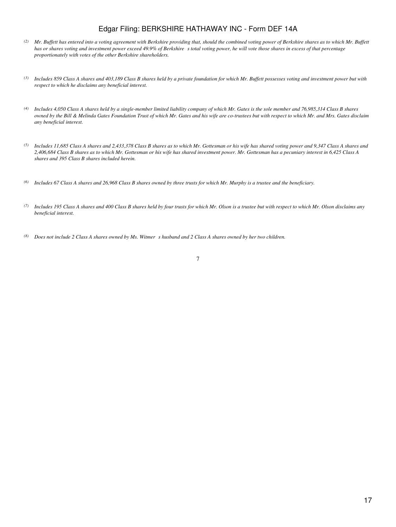- *(2) Mr. Buffett has entered into a voting agreement with Berkshire providing that, should the combined voting power of Berkshire shares as to which Mr. Buffett* has or shares voting and investment power exceed 49.9% of Berkshire s total voting power, he will vote those shares in excess of that percentage *proportionately with votes of the other Berkshire shareholders.*
- *(3) Includes 859 Class A shares and 403,189 Class B shares held by a private foundation for which Mr. Buffett possesses voting and investment power but with respect to which he disclaims any beneficial interest.*
- *(4) Includes 4,050 Class A shares held by a single-member limited liability company of which Mr. Gates is the sole member and 76,985,314 Class B shares owned by the Bill & Melinda Gates Foundation Trust of which Mr. Gates and his wife are co-trustees but with respect to which Mr. and Mrs. Gates disclaim any beneficial interest.*
- *(5) Includes 11,685 Class A shares and 2,433,378 Class B shares as to which Mr. Gottesman or his wife has shared voting power and 9,347 Class A shares and 2,406,684 Class B shares as to which Mr. Gottesman or his wife has shared investment power. Mr. Gottesman has a pecuniary interest in 6,425 Class A shares and 395 Class B shares included herein.*
- *(6) Includes 67 Class A shares and 26,968 Class B shares owned by three trusts for which Mr. Murphy is a trustee and the beneficiary.*
- *(7) Includes 195 Class A shares and 400 Class B shares held by four trusts for which Mr. Olson is a trustee but with respect to which Mr. Olson disclaims any beneficial interest.*
- <sup>(8)</sup> Does not include 2 Class A shares owned by Ms. Witmer s husband and 2 Class A shares owned by her two children.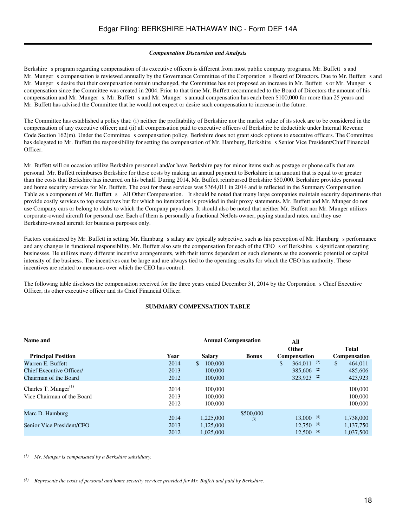#### *Compensation Discussion and Analysis*

Berkshire s program regarding compensation of its executive officers is different from most public company programs. Mr. Buffett s and Mr. Munger s compensation is reviewed annually by the Governance Committee of the Corporation s Board of Directors. Due to Mr. Buffett s and Mr. Munger s desire that their compensation remain unchanged, the Committee has not proposed an increase in Mr. Buffett s or Mr. Munger s compensation since the Committee was created in 2004. Prior to that time Mr. Buffett recommended to the Board of Directors the amount of his compensation and Mr. Munger s. Mr. Buffett s and Mr. Munger s annual compensation has each been \$100,000 for more than 25 years and Mr. Buffett has advised the Committee that he would not expect or desire such compensation to increase in the future.

The Committee has established a policy that: (i) neither the profitability of Berkshire nor the market value of its stock are to be considered in the compensation of any executive officer; and (ii) all compensation paid to executive officers of Berkshire be deductible under Internal Revenue Code Section 162(m). Under the Committee s compensation policy, Berkshire does not grant stock options to executive officers. The Committee has delegated to Mr. Buffett the responsibility for setting the compensation of Mr. Hamburg, Berkshire s Senior Vice President/Chief Financial Officer.

Mr. Buffett will on occasion utilize Berkshire personnel and/or have Berkshire pay for minor items such as postage or phone calls that are personal. Mr. Buffett reimburses Berkshire for these costs by making an annual payment to Berkshire in an amount that is equal to or greater than the costs that Berkshire has incurred on his behalf. During 2014, Mr. Buffett reimbursed Berkshire \$50,000. Berkshire provides personal and home security services for Mr. Buffett. The cost for these services was \$364,011 in 2014 and is reflected in the Summary Compensation Table as a component of Mr. Buffett s All Other Compensation. It should be noted that many large companies maintain security departments that provide costly services to top executives but for which no itemization is provided in their proxy statements. Mr. Buffett and Mr. Munger do not use Company cars or belong to clubs to which the Company pays dues. It should also be noted that neither Mr. Buffett nor Mr. Munger utilizes corporate-owned aircraft for personal use. Each of them is personally a fractional NetJets owner, paying standard rates, and they use Berkshire-owned aircraft for business purposes only.

Factors considered by Mr. Buffett in setting Mr. Hamburg s salary are typically subjective, such as his perception of Mr. Hamburg s performance and any changes in functional responsibility. Mr. Buffett also sets the compensation for each of the CEO s of Berkshire s significant operating businesses. He utilizes many different incentive arrangements, with their terms dependent on such elements as the economic potential or capital intensity of the business. The incentives can be large and are always tied to the operating results for which the CEO has authority. These incentives are related to measures over which the CEO has control.

The following table discloses the compensation received for the three years ended December 31, 2014 by the Corporation s Chief Executive Officer, its other executive officer and its Chief Financial Officer.

### **SUMMARY COMPENSATION TABLE**

| Name and                         |      | <b>Annual Compensation</b> |              | All                  |                     |
|----------------------------------|------|----------------------------|--------------|----------------------|---------------------|
|                                  |      |                            |              | <b>Other</b>         | <b>Total</b>        |
| <b>Principal Position</b>        | Year | <b>Salary</b>              | <b>Bonus</b> | <b>Compensation</b>  | <b>Compensation</b> |
| Warren E. Buffett                | 2014 | 100,000<br>\$              |              | (2)<br>364,011<br>\$ | \$<br>464,011       |
| Chief Executive Officer/         | 2013 | 100,000                    |              | 385,606<br>(2)       | 485,606             |
| Chairman of the Board            | 2012 | 100,000                    |              | (2)<br>323,923       | 423,923             |
| Charles T. Munger <sup>(1)</sup> | 2014 | 100,000                    |              |                      | 100,000             |
| Vice Chairman of the Board       | 2013 | 100,000                    |              |                      | 100,000             |
|                                  | 2012 | 100,000                    |              |                      | 100,000             |
| Marc D. Hamburg                  |      |                            | \$500,000    |                      |                     |
|                                  | 2014 | 1,225,000                  | (3)          | $^{(4)}$<br>13,000   | 1,738,000           |
| Senior Vice President/CFO        | 2013 | 1,125,000                  |              | (4)<br>12,750        | 1,137,750           |
|                                  | 2012 | 1.025.000                  |              | (4)<br>12.500        | 1.037.500           |

*(1) Mr. Munger is compensated by a Berkshire subsidiary.*

*<sup>(2)</sup> Represents the costs of personal and home security services provided for Mr. Buffett and paid by Berkshire.*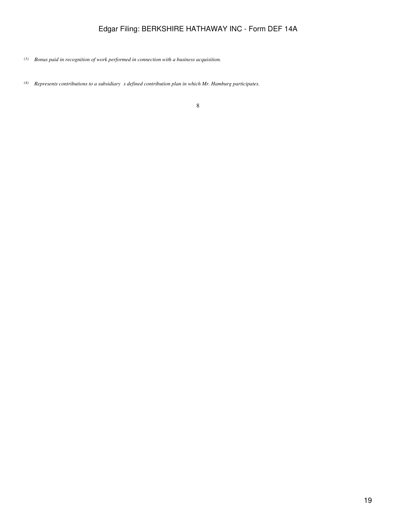- *(3) Bonus paid in recognition of work performed in connection with a business acquisition.*
- <sup>(4)</sup> *Represents contributions to a subsidiary s defined contribution plan in which Mr. Hamburg participates.*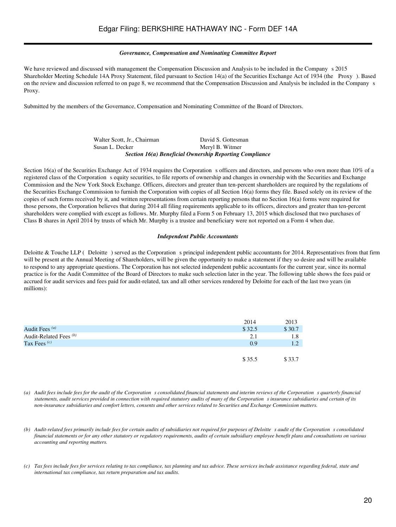#### *Governance, Compensation and Nominating Committee Report*

We have reviewed and discussed with management the Compensation Discussion and Analysis to be included in the Company s 2015 Shareholder Meeting Schedule 14A Proxy Statement, filed pursuant to Section 14(a) of the Securities Exchange Act of 1934 (the Proxy). Based on the review and discussion referred to on page 8, we recommend that the Compensation Discussion and Analysis be included in the Companys Proxy.

Submitted by the members of the Governance, Compensation and Nominating Committee of the Board of Directors.

#### Walter Scott, Jr., Chairman David S. Gottesman Susan L. Decker Meryl B. Witmer *Section 16(a) Beneficial Ownership Reporting Compliance*

Section 16(a) of the Securities Exchange Act of 1934 requires the Corporation s officers and directors, and persons who own more than  $10\%$  of a registered class of the Corporation sequity securities, to file reports of ownership and changes in ownership with the Securities and Exchange Commission and the New York Stock Exchange. Officers, directors and greater than ten-percent shareholders are required by the regulations of the Securities Exchange Commission to furnish the Corporation with copies of all Section 16(a) forms they file. Based solely on its review of the copies of such forms received by it, and written representations from certain reporting persons that no Section 16(a) forms were required for those persons, the Corporation believes that during 2014 all filing requirements applicable to its officers, directors and greater than ten-percent shareholders were complied with except as follows. Mr. Murphy filed a Form 5 on February 13, 2015 which disclosed that two purchases of Class B shares in April 2014 by trusts of which Mr. Murphy is a trustee and beneficiary were not reported on a Form 4 when due.

#### *Independent Public Accountants*

Deloitte & Touche LLP (Deloitte) served as the Corporation s principal independent public accountants for 2014. Representatives from that firm will be present at the Annual Meeting of Shareholders, will be given the opportunity to make a statement if they so desire and will be available to respond to any appropriate questions. The Corporation has not selected independent public accountants for the current year, since its normal practice is for the Audit Committee of the Board of Directors to make such selection later in the year. The following table shows the fees paid or accrued for audit services and fees paid for audit-related, tax and all other services rendered by Deloitte for each of the last two years (in millions):

|                                   | 2014   | 2013   |
|-----------------------------------|--------|--------|
| Audit Fees $(a)$                  | \$32.5 | \$30.7 |
| Audit-Related Fees <sup>(b)</sup> | 2.1    | 1.8    |
| Tax Fees $(c)$                    | 0.9    |        |
|                                   |        |        |
|                                   | \$35.5 | \$33.7 |

(a) Audit fees include fees for the audit of the Corporation s consolidated financial statements and interim reviews of the Corporation s quarterly financial *statements, audit services provided in connection with required statutory audits of many of the Corporations insurance subsidiaries and certain of its non-insurance subsidiaries and comfort letters, consents and other services related to Securities and Exchange Commission matters.*

*(b)* Audit-related fees primarily include fees for certain audits of subsidiaries not required for purposes of Deloitte s audit of the Corporation s consolidated *financial statements or for any other statutory or regulatory requirements, audits of certain subsidiary employee benefit plans and consultations on various accounting and reporting matters.*

*(c) Tax fees include fees for services relating to tax compliance, tax planning and tax advice. These services include assistance regarding federal, state and international tax compliance, tax return preparation and tax audits.*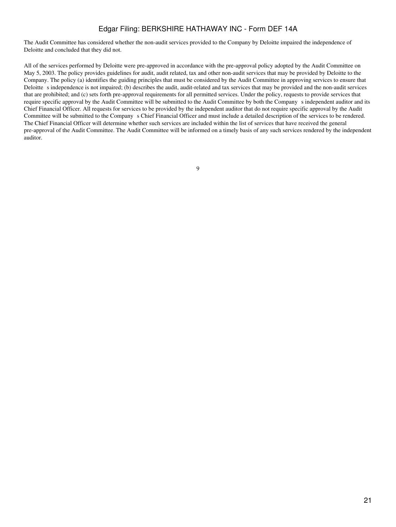The Audit Committee has considered whether the non-audit services provided to the Company by Deloitte impaired the independence of Deloitte and concluded that they did not.

All of the services performed by Deloitte were pre-approved in accordance with the pre-approval policy adopted by the Audit Committee on May 5, 2003. The policy provides guidelines for audit, audit related, tax and other non-audit services that may be provided by Deloitte to the Company. The policy (a) identifies the guiding principles that must be considered by the Audit Committee in approving services to ensure that Deloitte s independence is not impaired; (b) describes the audit, audit-related and tax services that may be provided and the non-audit services that are prohibited; and (c) sets forth pre-approval requirements for all permitted services. Under the policy, requests to provide services that require specific approval by the Audit Committee will be submitted to the Audit Committee by both the Companys independent auditor and its Chief Financial Officer. All requests for services to be provided by the independent auditor that do not require specific approval by the Audit Committee will be submitted to the Company s Chief Financial Officer and must include a detailed description of the services to be rendered. The Chief Financial Officer will determine whether such services are included within the list of services that have received the general pre-approval of the Audit Committee. The Audit Committee will be informed on a timely basis of any such services rendered by the independent auditor.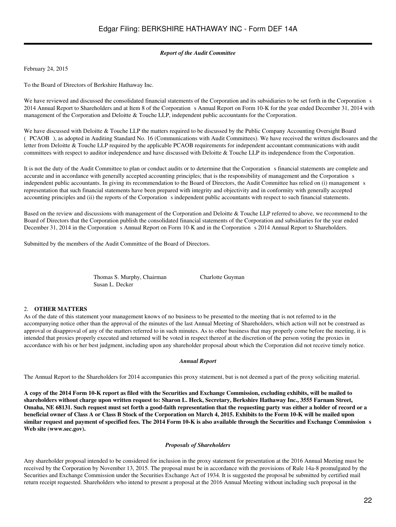#### *Report of the Audit Committee*

February 24, 2015

To the Board of Directors of Berkshire Hathaway Inc.

We have reviewed and discussed the consolidated financial statements of the Corporation and its subsidiaries to be set forth in the Corporation s 2014 Annual Report to Shareholders and at Item 8 of the Corporation s Annual Report on Form 10-K for the year ended December 31, 2014 with management of the Corporation and Deloitte & Touche LLP, independent public accountants for the Corporation.

We have discussed with Deloitte & Touche LLP the matters required to be discussed by the Public Company Accounting Oversight Board (PCAOB), as adopted in Auditing Standard No. 16 (Communications with Audit Committees). We have received the written disclosures and the letter from Deloitte & Touche LLP required by the applicable PCAOB requirements for independent accountant communications with audit committees with respect to auditor independence and have discussed with Deloitte & Touche LLP its independence from the Corporation.

It is not the duty of the Audit Committee to plan or conduct audits or to determine that the Corporation s financial statements are complete and accurate and in accordance with generally accepted accounting principles; that is the responsibility of management and the Corporation s independent public accountants. In giving its recommendation to the Board of Directors, the Audit Committee has relied on (i) management s representation that such financial statements have been prepared with integrity and objectivity and in conformity with generally accepted accounting principles and (ii) the reports of the Corporation sindependent public accountants with respect to such financial statements.

Based on the review and discussions with management of the Corporation and Deloitte & Touche LLP referred to above, we recommend to the Board of Directors that the Corporation publish the consolidated financial statements of the Corporation and subsidiaries for the year ended December 31, 2014 in the Corporation s Annual Report on Form 10-K and in the Corporation s 2014 Annual Report to Shareholders.

Submitted by the members of the Audit Committee of the Board of Directors.

Thomas S. Murphy, Chairman Charlotte Guyman Susan L. Decker

#### 2. **OTHER MATTERS**

As of the date of this statement your management knows of no business to be presented to the meeting that is not referred to in the accompanying notice other than the approval of the minutes of the last Annual Meeting of Shareholders, which action will not be construed as approval or disapproval of any of the matters referred to in such minutes. As to other business that may properly come before the meeting, it is intended that proxies properly executed and returned will be voted in respect thereof at the discretion of the person voting the proxies in accordance with his or her best judgment, including upon any shareholder proposal about which the Corporation did not receive timely notice.

#### *Annual Report*

The Annual Report to the Shareholders for 2014 accompanies this proxy statement, but is not deemed a part of the proxy soliciting material.

**A copy of the 2014 Form 10-K report as filed with the Securities and Exchange Commission, excluding exhibits, will be mailed to shareholders without charge upon written request to: Sharon L. Heck, Secretary, Berkshire Hathaway Inc., 3555 Farnam Street, Omaha, NE 68131. Such request must set forth a good-faith representation that the requesting party was either a holder of record or a beneficial owner of Class A or Class B Stock of the Corporation on March 4, 2015. Exhibits to the Form 10-K will be mailed upon similar request and payment of specified fees. The 2014 Form 10-K is also available through the Securities and Exchange Commissions Web site (www.sec.gov).**

#### *Proposals of Shareholders*

Any shareholder proposal intended to be considered for inclusion in the proxy statement for presentation at the 2016 Annual Meeting must be received by the Corporation by November 13, 2015. The proposal must be in accordance with the provisions of Rule 14a-8 promulgated by the Securities and Exchange Commission under the Securities Exchange Act of 1934. It is suggested the proposal be submitted by certified mail return receipt requested. Shareholders who intend to present a proposal at the 2016 Annual Meeting without including such proposal in the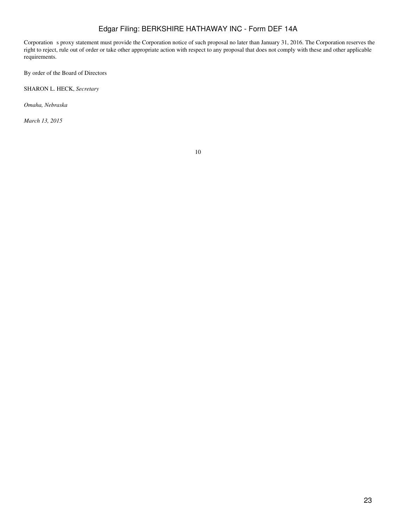Corporation s proxy statement must provide the Corporation notice of such proposal no later than January 31, 2016. The Corporation reserves the right to reject, rule out of order or take other appropriate action with respect to any proposal that does not comply with these and other applicable requirements.

By order of the Board of Directors

SHARON L. HECK, *Secretary*

*Omaha, Nebraska*

*March 13, 2015*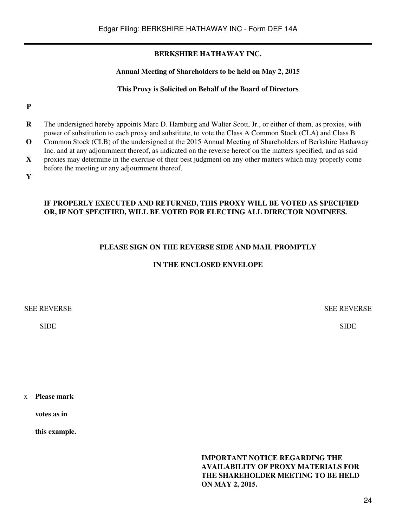# **BERKSHIRE HATHAWAY INC.**

# **Annual Meeting of Shareholders to be held on May 2, 2015**

## **This Proxy is Solicited on Behalf of the Board of Directors**

**P**

- **R** The undersigned hereby appoints Marc D. Hamburg and Walter Scott, Jr., or either of them, as proxies, with power of substitution to each proxy and substitute, to vote the Class A Common Stock (CLA) and Class B
- **O** Common Stock (CLB) of the undersigned at the 2015 Annual Meeting of Shareholders of Berkshire Hathaway Inc. and at any adjournment thereof, as indicated on the reverse hereof on the matters specified, and as said
- **X** proxies may determine in the exercise of their best judgment on any other matters which may properly come before the meeting or any adjournment thereof.

**Y**

# **IF PROPERLY EXECUTED AND RETURNED, THIS PROXY WILL BE VOTED AS SPECIFIED OR, IF NOT SPECIFIED, WILL BE VOTED FOR ELECTING ALL DIRECTOR NOMINEES.**

# **PLEASE SIGN ON THE REVERSE SIDE AND MAIL PROMPTLY**

# **IN THE ENCLOSED ENVELOPE**

SEE REVERSE

SIDE

SEE REVERSE

SIDE

x **Please mark**

**votes as in**

**this example.**

**IMPORTANT NOTICE REGARDING THE AVAILABILITY OF PROXY MATERIALS FOR THE SHAREHOLDER MEETING TO BE HELD ON MAY 2, 2015.**